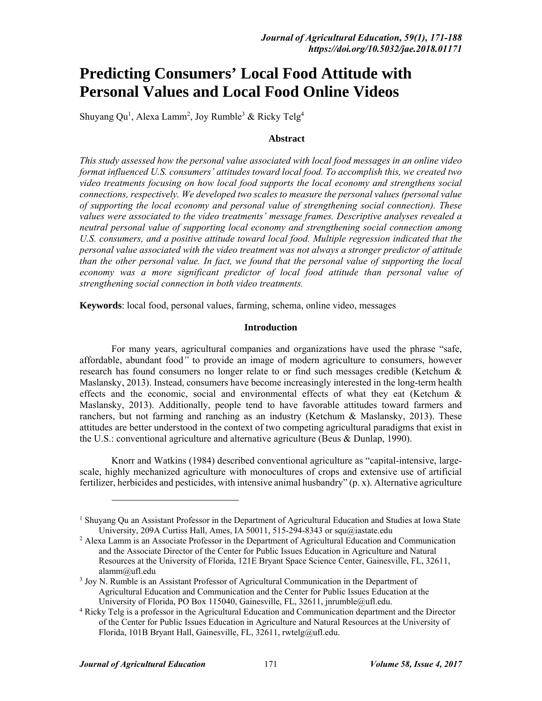# **Predicting Consumers' Local Food Attitude with Personal Values and Local Food Online Videos**

Shuyang Qu<sup>1</sup>, Alexa Lamm<sup>2</sup>, Joy Rumble<sup>3</sup> & Ricky Telg<sup>4</sup>

## **Abstract**

*This study assessed how the personal value associated with local food messages in an online video format influenced U.S. consumers' attitudes toward local food. To accomplish this, we created two video treatments focusing on how local food supports the local economy and strengthens social connections, respectively. We developed two scales to measure the personal values (personal value of supporting the local economy and personal value of strengthening social connection). These values were associated to the video treatments' message frames. Descriptive analyses revealed a neutral personal value of supporting local economy and strengthening social connection among U.S. consumers, and a positive attitude toward local food. Multiple regression indicated that the personal value associated with the video treatment was not always a stronger predictor of attitude than the other personal value. In fact, we found that the personal value of supporting the local economy was a more significant predictor of local food attitude than personal value of strengthening social connection in both video treatments.* 

**Keywords**: local food, personal values, farming, schema, online video, messages

## **Introduction**

For many years, agricultural companies and organizations have used the phrase "safe, affordable, abundant food*"* to provide an image of modern agriculture to consumers, however research has found consumers no longer relate to or find such messages credible (Ketchum & Maslansky, 2013). Instead, consumers have become increasingly interested in the long-term health effects and the economic, social and environmental effects of what they eat (Ketchum & Maslansky, 2013). Additionally, people tend to have favorable attitudes toward farmers and ranchers, but not farming and ranching as an industry (Ketchum  $\&$  Maslansky, 2013). These attitudes are better understood in the context of two competing agricultural paradigms that exist in the U.S.: conventional agriculture and alternative agriculture (Beus & Dunlap, 1990).

Knorr and Watkins (1984) described conventional agriculture as "capital-intensive, largescale, highly mechanized agriculture with monocultures of crops and extensive use of artificial fertilizer, herbicides and pesticides, with intensive animal husbandry" (p. x). Alternative agriculture

-

<sup>&</sup>lt;sup>1</sup> Shuyang Qu an Assistant Professor in the Department of Agricultural Education and Studies at Iowa State University, 209A Curtiss Hall, Ames, IA 50011, 515-294-8343 or squ@iastate.edu

<sup>&</sup>lt;sup>2</sup> Alexa Lamm is an Associate Professor in the Department of Agricultural Education and Communication and the Associate Director of the Center for Public Issues Education in Agriculture and Natural Resources at the University of Florida, 121E Bryant Space Science Center, Gainesville, FL, 32611, alamm@ufl.edu<br><sup>3</sup> Joy N. Rumble is an Assistant Professor of Agricultural Communication in the Department of

Agricultural Education and Communication and the Center for Public Issues Education at the University of Florida, PO Box 115040, Gainesville, FL, 32611, jnrumble@ufl.edu.

<sup>&</sup>lt;sup>4</sup> Ricky Telg is a professor in the Agricultural Education and Communication department and the Director of the Center for Public Issues Education in Agriculture and Natural Resources at the University of Florida, 101B Bryant Hall, Gainesville, FL, 32611, rwtelg@ufl.edu.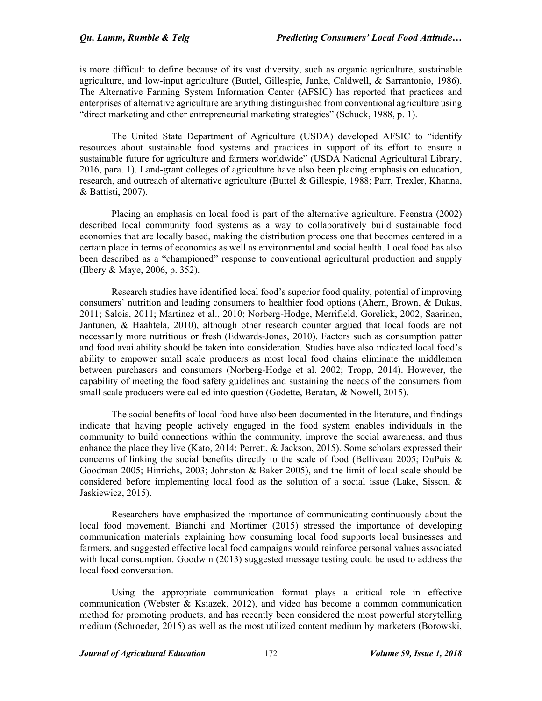is more difficult to define because of its vast diversity, such as organic agriculture, sustainable agriculture, and low-input agriculture (Buttel, Gillespie, Janke, Caldwell, & Sarrantonio, 1986). The Alternative Farming System Information Center (AFSIC) has reported that practices and enterprises of alternative agriculture are anything distinguished from conventional agriculture using "direct marketing and other entrepreneurial marketing strategies" (Schuck, 1988, p. 1).

The United State Department of Agriculture (USDA) developed AFSIC to "identify resources about sustainable food systems and practices in support of its effort to ensure a sustainable future for agriculture and farmers worldwide" (USDA National Agricultural Library, 2016, para. 1). Land-grant colleges of agriculture have also been placing emphasis on education, research, and outreach of alternative agriculture (Buttel & Gillespie, 1988; Parr, Trexler, Khanna, & Battisti, 2007).

Placing an emphasis on local food is part of the alternative agriculture. Feenstra (2002) described local community food systems as a way to collaboratively build sustainable food economies that are locally based, making the distribution process one that becomes centered in a certain place in terms of economics as well as environmental and social health. Local food has also been described as a "championed" response to conventional agricultural production and supply (Ilbery & Maye, 2006, p. 352).

Research studies have identified local food's superior food quality, potential of improving consumers' nutrition and leading consumers to healthier food options (Ahern, Brown, & Dukas, 2011; Salois, 2011; Martinez et al., 2010; Norberg-Hodge, Merrifield, Gorelick, 2002; Saarinen, Jantunen, & Haahtela, 2010), although other research counter argued that local foods are not necessarily more nutritious or fresh (Edwards-Jones, 2010). Factors such as consumption patter and food availability should be taken into consideration. Studies have also indicated local food's ability to empower small scale producers as most local food chains eliminate the middlemen between purchasers and consumers (Norberg-Hodge et al. 2002; Tropp, 2014). However, the capability of meeting the food safety guidelines and sustaining the needs of the consumers from small scale producers were called into question (Godette, Beratan, & Nowell, 2015).

The social benefits of local food have also been documented in the literature, and findings indicate that having people actively engaged in the food system enables individuals in the community to build connections within the community, improve the social awareness, and thus enhance the place they live (Kato, 2014; Perrett, & Jackson, 2015). Some scholars expressed their concerns of linking the social benefits directly to the scale of food (Belliveau 2005; DuPuis  $\&$ Goodman 2005; Hinrichs, 2003; Johnston & Baker 2005), and the limit of local scale should be considered before implementing local food as the solution of a social issue (Lake, Sisson, & Jaskiewicz, 2015).

Researchers have emphasized the importance of communicating continuously about the local food movement. Bianchi and Mortimer (2015) stressed the importance of developing communication materials explaining how consuming local food supports local businesses and farmers, and suggested effective local food campaigns would reinforce personal values associated with local consumption. Goodwin (2013) suggested message testing could be used to address the local food conversation.

Using the appropriate communication format plays a critical role in effective communication (Webster & Ksiazek, 2012), and video has become a common communication method for promoting products, and has recently been considered the most powerful storytelling medium (Schroeder, 2015) as well as the most utilized content medium by marketers (Borowski,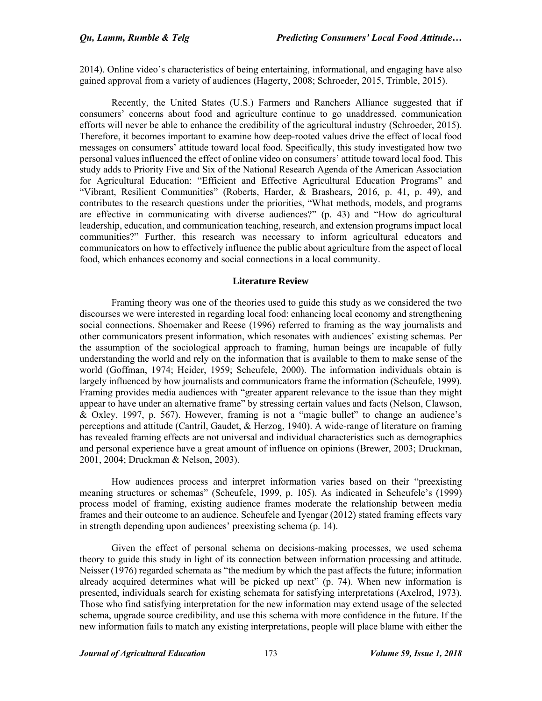2014). Online video's characteristics of being entertaining, informational, and engaging have also gained approval from a variety of audiences (Hagerty, 2008; Schroeder, 2015, Trimble, 2015).

Recently, the United States (U.S.) Farmers and Ranchers Alliance suggested that if consumers' concerns about food and agriculture continue to go unaddressed, communication efforts will never be able to enhance the credibility of the agricultural industry (Schroeder, 2015). Therefore, it becomes important to examine how deep-rooted values drive the effect of local food messages on consumers' attitude toward local food. Specifically, this study investigated how two personal values influenced the effect of online video on consumers' attitude toward local food. This study adds to Priority Five and Six of the National Research Agenda of the American Association for Agricultural Education: "Efficient and Effective Agricultural Education Programs" and "Vibrant, Resilient Communities" (Roberts, Harder, & Brashears, 2016, p. 41, p. 49), and contributes to the research questions under the priorities, "What methods, models, and programs are effective in communicating with diverse audiences?" (p. 43) and "How do agricultural leadership, education, and communication teaching, research, and extension programs impact local communities?" Further, this research was necessary to inform agricultural educators and communicators on how to effectively influence the public about agriculture from the aspect of local food, which enhances economy and social connections in a local community.

## **Literature Review**

Framing theory was one of the theories used to guide this study as we considered the two discourses we were interested in regarding local food: enhancing local economy and strengthening social connections. Shoemaker and Reese (1996) referred to framing as the way journalists and other communicators present information, which resonates with audiences' existing schemas. Per the assumption of the sociological approach to framing, human beings are incapable of fully understanding the world and rely on the information that is available to them to make sense of the world (Goffman, 1974; Heider, 1959; Scheufele, 2000). The information individuals obtain is largely influenced by how journalists and communicators frame the information (Scheufele, 1999). Framing provides media audiences with "greater apparent relevance to the issue than they might appear to have under an alternative frame" by stressing certain values and facts (Nelson, Clawson, & Oxley, 1997, p. 567). However, framing is not a "magic bullet" to change an audience's perceptions and attitude (Cantril, Gaudet, & Herzog, 1940). A wide-range of literature on framing has revealed framing effects are not universal and individual characteristics such as demographics and personal experience have a great amount of influence on opinions (Brewer, 2003; Druckman, 2001, 2004; Druckman & Nelson, 2003).

How audiences process and interpret information varies based on their "preexisting meaning structures or schemas" (Scheufele, 1999, p. 105). As indicated in Scheufele's (1999) process model of framing, existing audience frames moderate the relationship between media frames and their outcome to an audience. Scheufele and Iyengar (2012) stated framing effects vary in strength depending upon audiences' preexisting schema (p. 14).

Given the effect of personal schema on decisions-making processes, we used schema theory to guide this study in light of its connection between information processing and attitude. Neisser (1976) regarded schemata as "the medium by which the past affects the future; information already acquired determines what will be picked up next" (p. 74). When new information is presented, individuals search for existing schemata for satisfying interpretations (Axelrod, 1973). Those who find satisfying interpretation for the new information may extend usage of the selected schema, upgrade source credibility, and use this schema with more confidence in the future. If the new information fails to match any existing interpretations, people will place blame with either the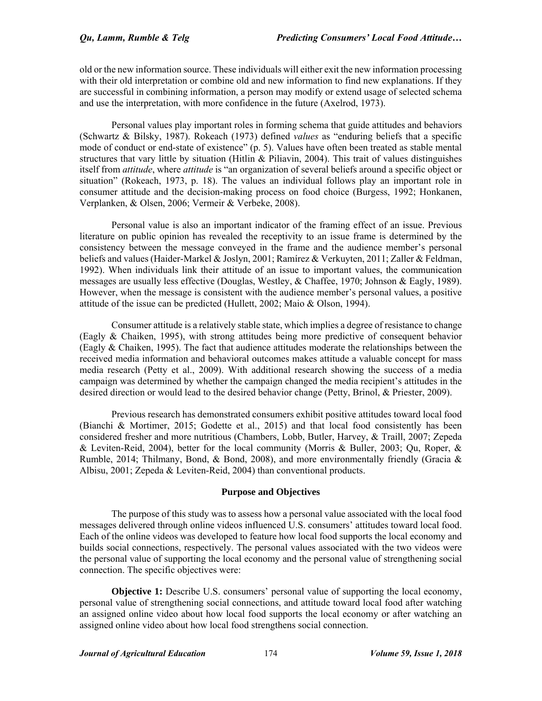old or the new information source. These individuals will either exit the new information processing with their old interpretation or combine old and new information to find new explanations. If they are successful in combining information, a person may modify or extend usage of selected schema and use the interpretation, with more confidence in the future (Axelrod, 1973).

Personal values play important roles in forming schema that guide attitudes and behaviors (Schwartz & Bilsky, 1987). Rokeach (1973) defined *values* as "enduring beliefs that a specific mode of conduct or end-state of existence" (p. 5). Values have often been treated as stable mental structures that vary little by situation (Hitlin & Piliavin, 2004). This trait of values distinguishes itself from *attitude*, where *attitude* is "an organization of several beliefs around a specific object or situation" (Rokeach, 1973, p. 18). The values an individual follows play an important role in consumer attitude and the decision-making process on food choice (Burgess, 1992; Honkanen, Verplanken, & Olsen, 2006; Vermeir & Verbeke, 2008).

Personal value is also an important indicator of the framing effect of an issue. Previous literature on public opinion has revealed the receptivity to an issue frame is determined by the consistency between the message conveyed in the frame and the audience member's personal beliefs and values (Haider-Markel & Joslyn, 2001; Ramírez & Verkuyten, 2011; Zaller & Feldman, 1992). When individuals link their attitude of an issue to important values, the communication messages are usually less effective (Douglas, Westley, & Chaffee, 1970; Johnson & Eagly, 1989). However, when the message is consistent with the audience member's personal values, a positive attitude of the issue can be predicted (Hullett, 2002; Maio & Olson, 1994).

Consumer attitude is a relatively stable state, which implies a degree of resistance to change (Eagly & Chaiken, 1995), with strong attitudes being more predictive of consequent behavior (Eagly & Chaiken, 1995). The fact that audience attitudes moderate the relationships between the received media information and behavioral outcomes makes attitude a valuable concept for mass media research (Petty et al., 2009). With additional research showing the success of a media campaign was determined by whether the campaign changed the media recipient's attitudes in the desired direction or would lead to the desired behavior change (Petty, Brinol, & Priester, 2009).

Previous research has demonstrated consumers exhibit positive attitudes toward local food (Bianchi & Mortimer, 2015; Godette et al., 2015) and that local food consistently has been considered fresher and more nutritious (Chambers, Lobb, Butler, Harvey, & Traill, 2007; Zepeda & Leviten-Reid, 2004), better for the local community (Morris & Buller, 2003; Qu, Roper, & Rumble, 2014; Thilmany, Bond,  $\&$  Bond, 2008), and more environmentally friendly (Gracia  $\&$ Albisu, 2001; Zepeda & Leviten-Reid, 2004) than conventional products.

## **Purpose and Objectives**

The purpose of this study was to assess how a personal value associated with the local food messages delivered through online videos influenced U.S. consumers' attitudes toward local food. Each of the online videos was developed to feature how local food supports the local economy and builds social connections, respectively. The personal values associated with the two videos were the personal value of supporting the local economy and the personal value of strengthening social connection. The specific objectives were:

**Objective 1:** Describe U.S. consumers' personal value of supporting the local economy, personal value of strengthening social connections, and attitude toward local food after watching an assigned online video about how local food supports the local economy or after watching an assigned online video about how local food strengthens social connection.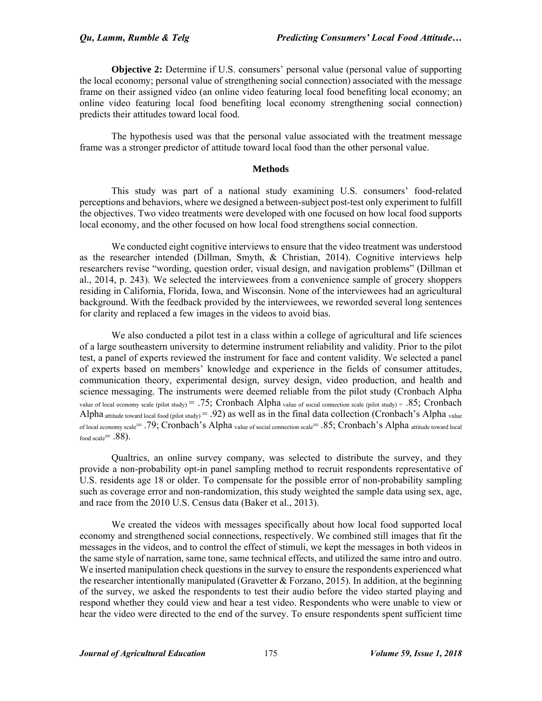**Objective 2:** Determine if U.S. consumers' personal value (personal value of supporting the local economy; personal value of strengthening social connection) associated with the message frame on their assigned video (an online video featuring local food benefiting local economy; an online video featuring local food benefiting local economy strengthening social connection) predicts their attitudes toward local food.

The hypothesis used was that the personal value associated with the treatment message frame was a stronger predictor of attitude toward local food than the other personal value.

### **Methods**

This study was part of a national study examining U.S. consumers' food-related perceptions and behaviors, where we designed a between-subject post-test only experiment to fulfill the objectives. Two video treatments were developed with one focused on how local food supports local economy, and the other focused on how local food strengthens social connection.

We conducted eight cognitive interviews to ensure that the video treatment was understood as the researcher intended (Dillman, Smyth, & Christian, 2014). Cognitive interviews help researchers revise "wording, question order, visual design, and navigation problems" (Dillman et al., 2014, p. 243). We selected the interviewees from a convenience sample of grocery shoppers residing in California, Florida, Iowa, and Wisconsin. None of the interviewees had an agricultural background. With the feedback provided by the interviewees, we reworded several long sentences for clarity and replaced a few images in the videos to avoid bias.

We also conducted a pilot test in a class within a college of agricultural and life sciences of a large southeastern university to determine instrument reliability and validity. Prior to the pilot test, a panel of experts reviewed the instrument for face and content validity. We selected a panel of experts based on members' knowledge and experience in the fields of consumer attitudes, communication theory, experimental design, survey design, video production, and health and science messaging. The instruments were deemed reliable from the pilot study (Cronbach Alpha value of local economy scale (pilot study) = .75; Cronbach Alpha value of social connection scale (pilot study) = .85; Cronbach Alpha attitude toward local food (pilot study) = .92) as well as in the final data collection (Cronbach's Alpha value of local economy scale  $= .79$ ; Cronbach's Alpha value of social connection scale  $= .85$ ; Cronbach's Alpha attitude toward local food scale  $= .88$ ).

Qualtrics, an online survey company, was selected to distribute the survey, and they provide a non-probability opt-in panel sampling method to recruit respondents representative of U.S. residents age 18 or older. To compensate for the possible error of non-probability sampling such as coverage error and non-randomization, this study weighted the sample data using sex, age, and race from the 2010 U.S. Census data (Baker et al., 2013).

We created the videos with messages specifically about how local food supported local economy and strengthened social connections, respectively. We combined still images that fit the messages in the videos, and to control the effect of stimuli, we kept the messages in both videos in the same style of narration, same tone, same technical effects, and utilized the same intro and outro. We inserted manipulation check questions in the survey to ensure the respondents experienced what the researcher intentionally manipulated (Gravetter  $&$  Forzano, 2015). In addition, at the beginning of the survey, we asked the respondents to test their audio before the video started playing and respond whether they could view and hear a test video. Respondents who were unable to view or hear the video were directed to the end of the survey. To ensure respondents spent sufficient time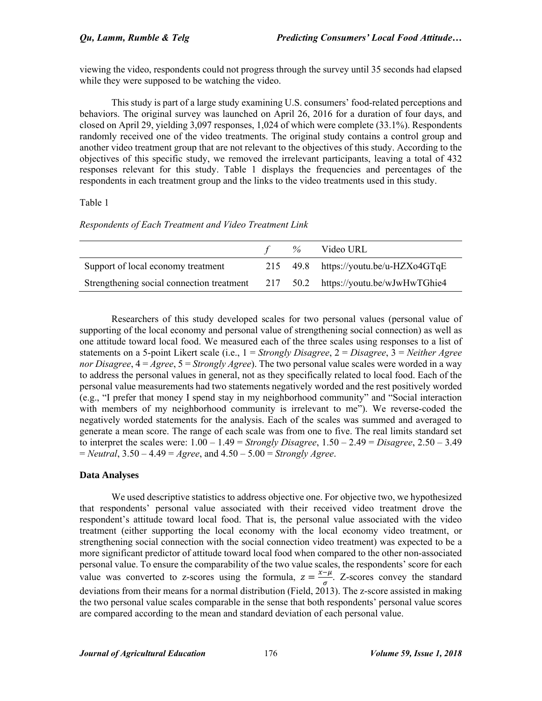viewing the video, respondents could not progress through the survey until 35 seconds had elapsed while they were supposed to be watching the video.

This study is part of a large study examining U.S. consumers' food-related perceptions and behaviors. The original survey was launched on April 26, 2016 for a duration of four days, and closed on April 29, yielding 3,097 responses, 1,024 of which were complete (33.1%). Respondents randomly received one of the video treatments. The original study contains a control group and another video treatment group that are not relevant to the objectives of this study. According to the objectives of this specific study, we removed the irrelevant participants, leaving a total of 432 responses relevant for this study. Table 1 displays the frequencies and percentages of the respondents in each treatment group and the links to the video treatments used in this study.

## Table 1

| Respondents of Each Treatment and Video Treatment Link |  |  |  |  |  |
|--------------------------------------------------------|--|--|--|--|--|
|--------------------------------------------------------|--|--|--|--|--|

|                                                                                 |  | % Video URL                             |
|---------------------------------------------------------------------------------|--|-----------------------------------------|
| Support of local economy treatment                                              |  | 215 $49.8$ https://youtu.be/u-HZXo4GTqE |
| Strengthening social connection treatment 217 50.2 https://youtu.be/wJwHwTGhie4 |  |                                         |

Researchers of this study developed scales for two personal values (personal value of supporting of the local economy and personal value of strengthening social connection) as well as one attitude toward local food. We measured each of the three scales using responses to a list of statements on a 5-point Likert scale (i.e., 1 = *Strongly Disagree*, 2 = *Disagree*, 3 = *Neither Agree nor Disagree*, 4 = *Agree*, 5 = *Strongly Agree*). The two personal value scales were worded in a way to address the personal values in general, not as they specifically related to local food. Each of the personal value measurements had two statements negatively worded and the rest positively worded (e.g., "I prefer that money I spend stay in my neighborhood community" and "Social interaction with members of my neighborhood community is irrelevant to me"). We reverse-coded the negatively worded statements for the analysis. Each of the scales was summed and averaged to generate a mean score. The range of each scale was from one to five. The real limits standard set to interpret the scales were:  $1.00 - 1.49 =$  *Strongly Disagree*,  $1.50 - 2.49 =$  *Disagree*,  $2.50 - 3.49$ = *Neutral*, 3.50 – 4.49 = *Agree*, and 4.50 – 5.00 = *Strongly Agree*.

## **Data Analyses**

We used descriptive statistics to address objective one. For objective two, we hypothesized that respondents' personal value associated with their received video treatment drove the respondent's attitude toward local food. That is, the personal value associated with the video treatment (either supporting the local economy with the local economy video treatment, or strengthening social connection with the social connection video treatment) was expected to be a more significant predictor of attitude toward local food when compared to the other non-associated personal value. To ensure the comparability of the two value scales, the respondents' score for each value was converted to z-scores using the formula,  $z = \frac{x-\mu}{\sigma}$ . Z-scores convey the standard deviations from their means for a normal distribution (Field, 2013). The z-score assisted in making the two personal value scales comparable in the sense that both respondents' personal value scores are compared according to the mean and standard deviation of each personal value.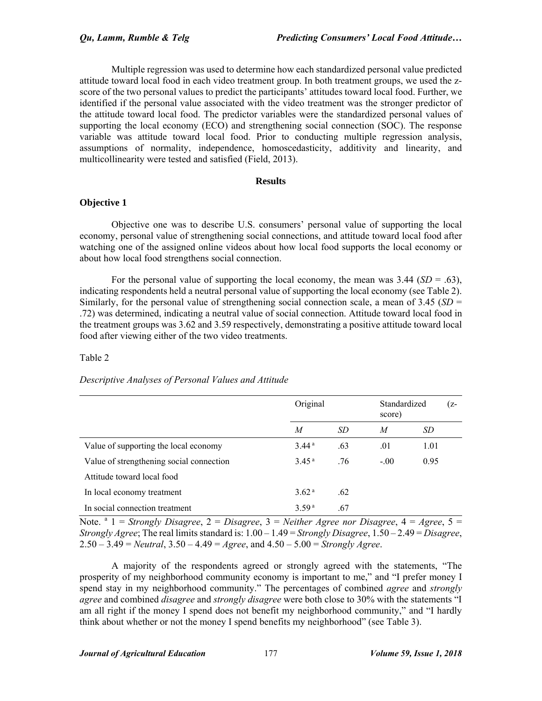Multiple regression was used to determine how each standardized personal value predicted attitude toward local food in each video treatment group. In both treatment groups, we used the zscore of the two personal values to predict the participants' attitudes toward local food. Further, we identified if the personal value associated with the video treatment was the stronger predictor of the attitude toward local food. The predictor variables were the standardized personal values of supporting the local economy (ECO) and strengthening social connection (SOC). The response variable was attitude toward local food. Prior to conducting multiple regression analysis, assumptions of normality, independence, homoscedasticity, additivity and linearity, and multicollinearity were tested and satisfied (Field, 2013).

## **Results**

# **Objective 1**

Objective one was to describe U.S. consumers' personal value of supporting the local economy, personal value of strengthening social connections, and attitude toward local food after watching one of the assigned online videos about how local food supports the local economy or about how local food strengthens social connection.

For the personal value of supporting the local economy, the mean was  $3.44$  (*SD* = .63), indicating respondents held a neutral personal value of supporting the local economy (see Table 2). Similarly, for the personal value of strengthening social connection scale, a mean of 3.45 (*SD* = .72) was determined, indicating a neutral value of social connection. Attitude toward local food in the treatment groups was 3.62 and 3.59 respectively, demonstrating a positive attitude toward local food after viewing either of the two video treatments.

## Table 2

# *Descriptive Analyses of Personal Values and Attitude*

|                                          | Original          |     |        | Standardized | (z- |  |
|------------------------------------------|-------------------|-----|--------|--------------|-----|--|
|                                          | M                 | SD  | M      | SD           |     |  |
| Value of supporting the local economy    | 3.44 <sup>a</sup> | .63 | .01    | 1.01         |     |  |
| Value of strengthening social connection | 3.45 <sup>a</sup> | .76 | $-.00$ | 0.95         |     |  |
| Attitude toward local food               |                   |     |        |              |     |  |
| In local economy treatment               | 3.62 <sup>a</sup> | .62 |        |              |     |  |
| In social connection treatment           | 3.59 <sup>a</sup> | .67 |        |              |     |  |

Note. <sup>a</sup> 1 = *Strongly Disagree*, 2 = *Disagree*, 3 = *Neither Agree nor Disagree*, 4 = *Agree*, 5 = *Strongly Agree*; The real limits standard is: 1.00 – 1.49 = *Strongly Disagree*, 1.50 – 2.49 = *Disagree*, 2.50 – 3.49 = *Neutral*, 3.50 – 4.49 = *Agree*, and 4.50 – 5.00 = *Strongly Agree*.

A majority of the respondents agreed or strongly agreed with the statements, "The prosperity of my neighborhood community economy is important to me," and "I prefer money I spend stay in my neighborhood community." The percentages of combined *agree* and *strongly agree* and combined *disagree* and *strongly disagree* were both close to 30% with the statements "I am all right if the money I spend does not benefit my neighborhood community," and "I hardly think about whether or not the money I spend benefits my neighborhood" (see Table 3).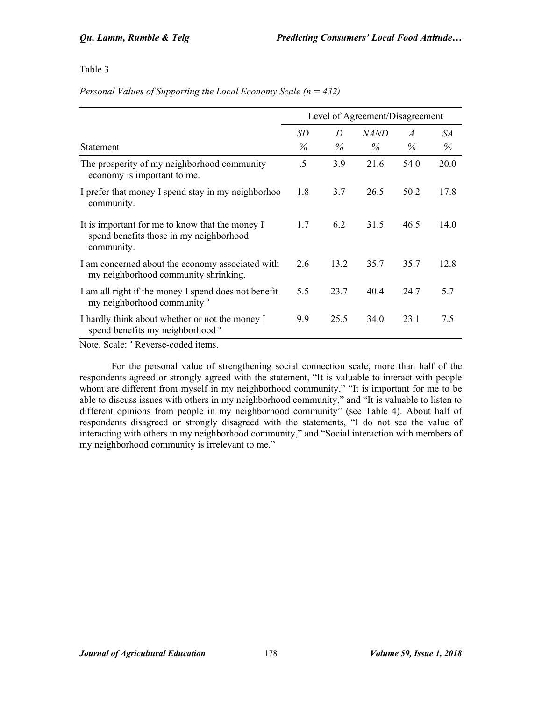## Table 3

## *Personal Values of Supporting the Local Economy Scale (n = 432)*

|                                                                                                          | Level of Agreement/Disagreement |      |             |               |      |
|----------------------------------------------------------------------------------------------------------|---------------------------------|------|-------------|---------------|------|
|                                                                                                          | SD                              | D    | <b>NAND</b> | $\mathcal{A}$ | SА   |
| <b>Statement</b>                                                                                         | $\%$                            | $\%$ | $\%$        | $\%$          | $\%$ |
| The prosperity of my neighborhood community<br>economy is important to me.                               | .5                              | 3.9  | 21.6        | 54.0          | 20.0 |
| I prefer that money I spend stay in my neighborhoo<br>community.                                         | 1.8                             | 3.7  | 26.5        | 50.2          | 17.8 |
| It is important for me to know that the money I<br>spend benefits those in my neighborhood<br>community. | 1.7                             | 6.2  | 31.5        | 46.5          | 14.0 |
| I am concerned about the economy associated with<br>my neighborhood community shrinking.                 | 2.6                             | 13.2 | 35.7        | 35.7          | 12.8 |
| I am all right if the money I spend does not benefit<br>my neighborhood community <sup>a</sup>           | 5.5                             | 23.7 | 40.4        | 24.7          | 5.7  |
| I hardly think about whether or not the money I<br>spend benefits my neighborhood <sup>a</sup>           | 9.9                             | 25.5 | 34.0        | 23.1          | 7.5  |

Note. Scale: <sup>a</sup> Reverse-coded items.

For the personal value of strengthening social connection scale, more than half of the respondents agreed or strongly agreed with the statement, "It is valuable to interact with people whom are different from myself in my neighborhood community," "It is important for me to be able to discuss issues with others in my neighborhood community," and "It is valuable to listen to different opinions from people in my neighborhood community" (see Table 4). About half of respondents disagreed or strongly disagreed with the statements, "I do not see the value of interacting with others in my neighborhood community," and "Social interaction with members of my neighborhood community is irrelevant to me."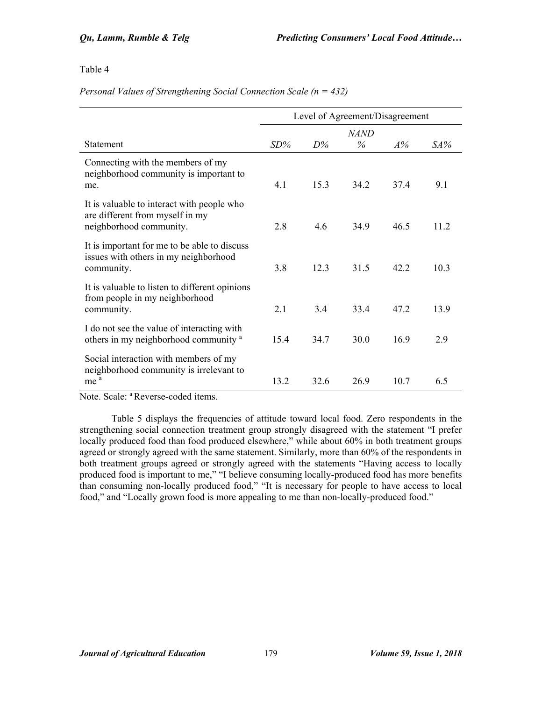Table 4

| Personal Values of Strengthening Social Connection Scale ( $n = 432$ ) |  |  |
|------------------------------------------------------------------------|--|--|
|------------------------------------------------------------------------|--|--|

|                                                                                                          | Level of Agreement/Disagreement |       |                 |      |        |
|----------------------------------------------------------------------------------------------------------|---------------------------------|-------|-----------------|------|--------|
|                                                                                                          |                                 |       | <b>NAND</b>     |      |        |
| <b>Statement</b>                                                                                         | $SD\%$                          | $D\%$ | $\%$            | A%   | $SA\%$ |
| Connecting with the members of my<br>neighborhood community is important to<br>me.                       | 4.1                             | 153   | 34 2            | 374  | 9.1    |
| It is valuable to interact with people who<br>are different from myself in my<br>neighborhood community. | 28                              | 46    | 349             | 46.5 | 11 2   |
| It is important for me to be able to discuss<br>issues with others in my neighborhood<br>community.      | 3.8                             | 123   | 31.5            | 42 2 | 103    |
| It is valuable to listen to different opinions<br>from people in my neighborhood<br>community.           | 2.1                             | 34    | 33.4            | 47.2 | 13.9   |
| I do not see the value of interacting with<br>others in my neighborhood community <sup>a</sup>           | 154                             | 34.7  | 30 <sub>0</sub> | 169  | 29     |
| Social interaction with members of my<br>neighborhood community is irrelevant to<br>me                   | 13.2                            | 32.6  | 26.9            | 10.7 | 6.5    |

Note. Scale: <sup>a</sup> Reverse-coded items.

Table 5 displays the frequencies of attitude toward local food. Zero respondents in the strengthening social connection treatment group strongly disagreed with the statement "I prefer locally produced food than food produced elsewhere," while about 60% in both treatment groups agreed or strongly agreed with the same statement. Similarly, more than 60% of the respondents in both treatment groups agreed or strongly agreed with the statements "Having access to locally produced food is important to me," "I believe consuming locally-produced food has more benefits than consuming non-locally produced food," "It is necessary for people to have access to local food," and "Locally grown food is more appealing to me than non-locally-produced food."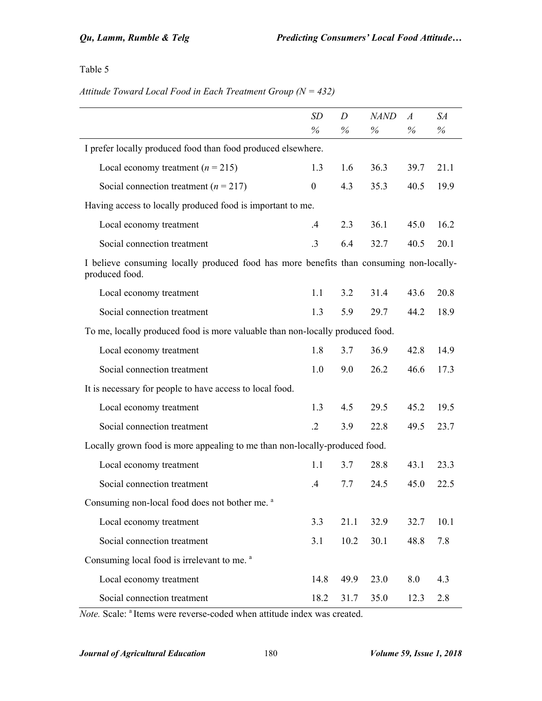# Table 5

## *Attitude Toward Local Food in Each Treatment Group (N = 432)*

|                                                                                                           | <b>SD</b>        | D    | <i>NAND</i> | $\boldsymbol{A}$ | SА   |
|-----------------------------------------------------------------------------------------------------------|------------------|------|-------------|------------------|------|
|                                                                                                           | %                | $\%$ | %           | $\%$             | %    |
| I prefer locally produced food than food produced elsewhere.                                              |                  |      |             |                  |      |
| Local economy treatment ( $n = 215$ )                                                                     | 1.3              | 1.6  | 36.3        | 39.7             | 21.1 |
| Social connection treatment ( $n = 217$ )                                                                 | $\boldsymbol{0}$ | 4.3  | 35.3        | 40.5             | 19.9 |
| Having access to locally produced food is important to me.                                                |                  |      |             |                  |      |
| Local economy treatment                                                                                   | .4               | 2.3  | 36.1        | 45.0             | 16.2 |
| Social connection treatment                                                                               | .3               | 6.4  | 32.7        | 40.5             | 20.1 |
| I believe consuming locally produced food has more benefits than consuming non-locally-<br>produced food. |                  |      |             |                  |      |
| Local economy treatment                                                                                   | 1.1              | 3.2  | 31.4        | 43.6             | 20.8 |
| Social connection treatment                                                                               | 1.3              | 5.9  | 29.7        | 44.2             | 18.9 |
| To me, locally produced food is more valuable than non-locally produced food.                             |                  |      |             |                  |      |
| Local economy treatment                                                                                   | 1.8              | 3.7  | 36.9        | 42.8             | 14.9 |
| Social connection treatment                                                                               | 1.0              | 9.0  | 26.2        | 46.6             | 17.3 |
| It is necessary for people to have access to local food.                                                  |                  |      |             |                  |      |
| Local economy treatment                                                                                   | 1.3              | 4.5  | 29.5        | 45.2             | 19.5 |
| Social connection treatment                                                                               | $\cdot$ .2       | 3.9  | 22.8        | 49.5             | 23.7 |
| Locally grown food is more appealing to me than non-locally-produced food.                                |                  |      |             |                  |      |
| Local economy treatment                                                                                   | 1.1              | 3.7  | 28.8        | 43.1             | 23.3 |
| Social connection treatment                                                                               | .4               | 7.7  | 24.5        | 45.0             | 22.5 |
| Consuming non-local food does not bother me. <sup>a</sup>                                                 |                  |      |             |                  |      |
| Local economy treatment                                                                                   | 3.3              | 21.1 | 32.9        | 32.7             | 10.1 |
| Social connection treatment                                                                               | 3.1              | 10.2 | 30.1        | 48.8             | 7.8  |
| Consuming local food is irrelevant to me. <sup>a</sup>                                                    |                  |      |             |                  |      |
| Local economy treatment                                                                                   | 14.8             | 49.9 | 23.0        | 8.0              | 4.3  |
| Social connection treatment                                                                               | 18.2             | 31.7 | 35.0        | 12.3             | 2.8  |

*Note.* Scale: <sup>a</sup> Items were reverse-coded when attitude index was created.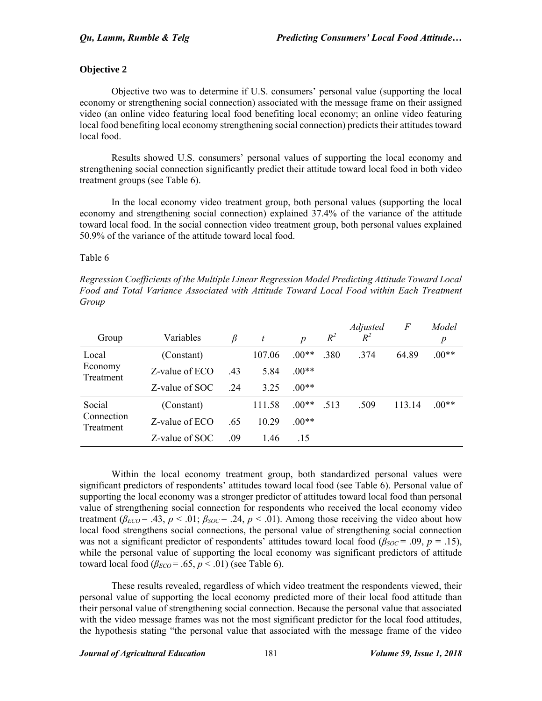# **Objective 2**

Objective two was to determine if U.S. consumers' personal value (supporting the local economy or strengthening social connection) associated with the message frame on their assigned video (an online video featuring local food benefiting local economy; an online video featuring local food benefiting local economy strengthening social connection) predicts their attitudes toward local food.

Results showed U.S. consumers' personal values of supporting the local economy and strengthening social connection significantly predict their attitude toward local food in both video treatment groups (see Table 6).

In the local economy video treatment group, both personal values (supporting the local economy and strengthening social connection) explained 37.4% of the variance of the attitude toward local food. In the social connection video treatment group, both personal values explained 50.9% of the variance of the attitude toward local food.

## Table 6

*Regression Coefficients of the Multiple Linear Regression Model Predicting Attitude Toward Local Food and Total Variance Associated with Attitude Toward Local Food within Each Treatment Group* 

| Group                   | Variables      | B   | t      | $\boldsymbol{p}$ | $R^2$ | <i>Adjusted</i><br>$R^2$ | F      | Model<br>p |
|-------------------------|----------------|-----|--------|------------------|-------|--------------------------|--------|------------|
| Local                   | (Constant)     |     | 107.06 | $.00**$          | .380  | .374                     | 64.89  | $.00**$    |
| Economy<br>Treatment    | Z-value of ECO | .43 | 5.84   | $.00**$          |       |                          |        |            |
|                         | Z-value of SOC | 24  | 3.25   | $.00**$          |       |                          |        |            |
| Social                  | (Constant)     |     | 111.58 | $.00**$          | .513  | .509                     | 113.14 | $.00**$    |
| Connection<br>Treatment | Z-value of ECO | .65 | 10 29  | $.00**$          |       |                          |        |            |
|                         | Z-value of SOC | .09 | 1.46   | .15              |       |                          |        |            |

Within the local economy treatment group, both standardized personal values were significant predictors of respondents' attitudes toward local food (see Table 6). Personal value of supporting the local economy was a stronger predictor of attitudes toward local food than personal value of strengthening social connection for respondents who received the local economy video treatment ( $\beta_{ECO}$  = .43,  $p < .01$ ;  $\beta_{SOC}$  = .24,  $p < .01$ ). Among those receiving the video about how local food strengthens social connections, the personal value of strengthening social connection was not a significant predictor of respondents' attitudes toward local food ( $\beta_{SOC} = .09$ ,  $p = .15$ ), while the personal value of supporting the local economy was significant predictors of attitude toward local food  $(\beta_{ECO} = .65, p < .01)$  (see Table 6).

These results revealed, regardless of which video treatment the respondents viewed, their personal value of supporting the local economy predicted more of their local food attitude than their personal value of strengthening social connection. Because the personal value that associated with the video message frames was not the most significant predictor for the local food attitudes, the hypothesis stating "the personal value that associated with the message frame of the video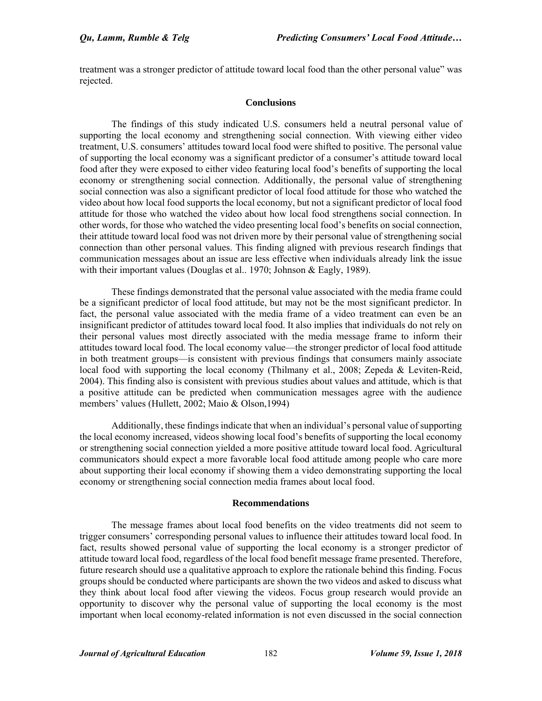treatment was a stronger predictor of attitude toward local food than the other personal value" was rejected.

### **Conclusions**

The findings of this study indicated U.S. consumers held a neutral personal value of supporting the local economy and strengthening social connection. With viewing either video treatment, U.S. consumers' attitudes toward local food were shifted to positive. The personal value of supporting the local economy was a significant predictor of a consumer's attitude toward local food after they were exposed to either video featuring local food's benefits of supporting the local economy or strengthening social connection. Additionally, the personal value of strengthening social connection was also a significant predictor of local food attitude for those who watched the video about how local food supports the local economy, but not a significant predictor of local food attitude for those who watched the video about how local food strengthens social connection. In other words, for those who watched the video presenting local food's benefits on social connection, their attitude toward local food was not driven more by their personal value of strengthening social connection than other personal values. This finding aligned with previous research findings that communication messages about an issue are less effective when individuals already link the issue with their important values (Douglas et al., 1970; Johnson & Eagly, 1989).

These findings demonstrated that the personal value associated with the media frame could be a significant predictor of local food attitude, but may not be the most significant predictor. In fact, the personal value associated with the media frame of a video treatment can even be an insignificant predictor of attitudes toward local food. It also implies that individuals do not rely on their personal values most directly associated with the media message frame to inform their attitudes toward local food. The local economy value—the stronger predictor of local food attitude in both treatment groups—is consistent with previous findings that consumers mainly associate local food with supporting the local economy (Thilmany et al., 2008; Zepeda & Leviten-Reid, 2004). This finding also is consistent with previous studies about values and attitude, which is that a positive attitude can be predicted when communication messages agree with the audience members' values (Hullett, 2002; Maio & Olson,1994)

Additionally, these findings indicate that when an individual's personal value of supporting the local economy increased, videos showing local food's benefits of supporting the local economy or strengthening social connection yielded a more positive attitude toward local food. Agricultural communicators should expect a more favorable local food attitude among people who care more about supporting their local economy if showing them a video demonstrating supporting the local economy or strengthening social connection media frames about local food.

#### **Recommendations**

The message frames about local food benefits on the video treatments did not seem to trigger consumers' corresponding personal values to influence their attitudes toward local food. In fact, results showed personal value of supporting the local economy is a stronger predictor of attitude toward local food, regardless of the local food benefit message frame presented. Therefore, future research should use a qualitative approach to explore the rationale behind this finding. Focus groups should be conducted where participants are shown the two videos and asked to discuss what they think about local food after viewing the videos. Focus group research would provide an opportunity to discover why the personal value of supporting the local economy is the most important when local economy-related information is not even discussed in the social connection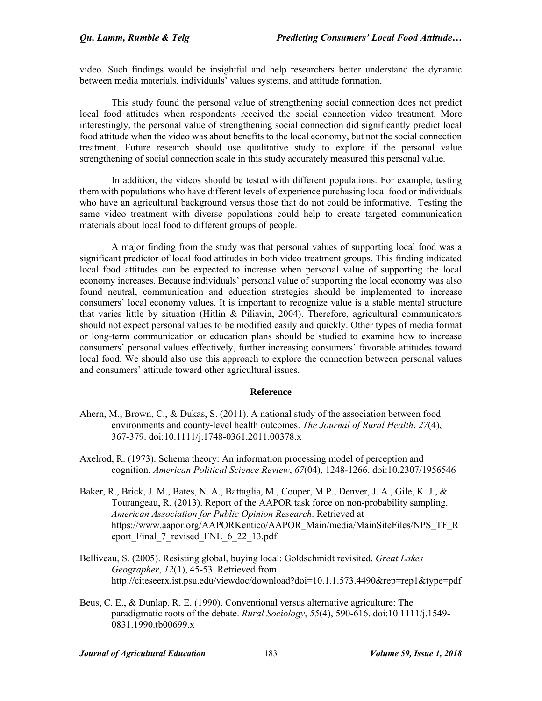video. Such findings would be insightful and help researchers better understand the dynamic between media materials, individuals' values systems, and attitude formation.

This study found the personal value of strengthening social connection does not predict local food attitudes when respondents received the social connection video treatment. More interestingly, the personal value of strengthening social connection did significantly predict local food attitude when the video was about benefits to the local economy, but not the social connection treatment. Future research should use qualitative study to explore if the personal value strengthening of social connection scale in this study accurately measured this personal value.

In addition, the videos should be tested with different populations. For example, testing them with populations who have different levels of experience purchasing local food or individuals who have an agricultural background versus those that do not could be informative. Testing the same video treatment with diverse populations could help to create targeted communication materials about local food to different groups of people.

A major finding from the study was that personal values of supporting local food was a significant predictor of local food attitudes in both video treatment groups. This finding indicated local food attitudes can be expected to increase when personal value of supporting the local economy increases. Because individuals' personal value of supporting the local economy was also found neutral, communication and education strategies should be implemented to increase consumers' local economy values. It is important to recognize value is a stable mental structure that varies little by situation (Hitlin & Piliavin, 2004). Therefore, agricultural communicators should not expect personal values to be modified easily and quickly. Other types of media format or long-term communication or education plans should be studied to examine how to increase consumers' personal values effectively, further increasing consumers' favorable attitudes toward local food. We should also use this approach to explore the connection between personal values and consumers' attitude toward other agricultural issues.

#### **Reference**

- Ahern, M., Brown, C., & Dukas, S. (2011). A national study of the association between food environments and county‐level health outcomes. *The Journal of Rural Health*, *27*(4), 367-379. doi:10.1111/j.1748-0361.2011.00378.x
- Axelrod, R. (1973). Schema theory: An information processing model of perception and cognition. *American Political Science Review*, *67*(04), 1248-1266. doi:10.2307/1956546
- Baker, R., Brick, J. M., Bates, N. A., Battaglia, M., Couper, M P., Denver, J. A., Gile, K. J., & Tourangeau, R. (2013). Report of the AAPOR task force on non-probability sampling. *American Association for Public Opinion Research*. Retrieved at https://www.aapor.org/AAPORKentico/AAPOR\_Main/media/MainSiteFiles/NPS\_TF\_R eport Final 7 revised FNL 6 22 13.pdf
- Belliveau, S. (2005). Resisting global, buying local: Goldschmidt revisited. *Great Lakes Geographer*, *12*(1), 45-53. Retrieved from http://citeseerx.ist.psu.edu/viewdoc/download?doi=10.1.1.573.4490&rep=rep1&type=pdf
- Beus, C. E., & Dunlap, R. E. (1990). Conventional versus alternative agriculture: The paradigmatic roots of the debate. *Rural Sociology*, *55*(4), 590-616. doi:10.1111/j.1549- 0831.1990.tb00699.x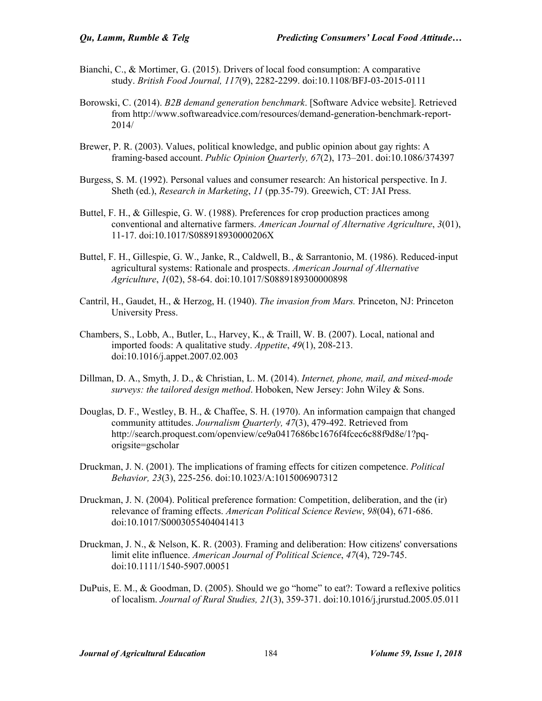- Bianchi, C., & Mortimer, G. (2015). Drivers of local food consumption: A comparative study. *British Food Journal, 117*(9), 2282-2299. doi:10.1108/BFJ-03-2015-0111
- Borowski, C. (2014). *B2B demand generation benchmark*. [Software Advice website]. Retrieved from http://www.softwareadvice.com/resources/demand-generation-benchmark-report-2014/
- Brewer, P. R. (2003). Values, political knowledge, and public opinion about gay rights: A framing-based account. *Public Opinion Quarterly, 67*(2), 173–201. doi:10.1086/374397
- Burgess, S. M. (1992). Personal values and consumer research: An historical perspective. In J. Sheth (ed.), *Research in Marketing*, *11* (pp*.*35-79). Greewich, CT: JAI Press.
- Buttel, F. H., & Gillespie, G. W. (1988). Preferences for crop production practices among conventional and alternative farmers. *American Journal of Alternative Agriculture*, *3*(01), 11-17. doi:10.1017/S088918930000206X
- Buttel, F. H., Gillespie, G. W., Janke, R., Caldwell, B., & Sarrantonio, M. (1986). Reduced-input agricultural systems: Rationale and prospects. *American Journal of Alternative Agriculture*, *1*(02), 58-64. doi:10.1017/S0889189300000898
- Cantril, H., Gaudet, H., & Herzog, H. (1940). *The invasion from Mars.* Princeton, NJ: Princeton University Press.
- Chambers, S., Lobb, A., Butler, L., Harvey, K., & Traill, W. B. (2007). Local, national and imported foods: A qualitative study. *Appetite*, *49*(1), 208-213. doi:10.1016/j.appet.2007.02.003
- Dillman, D. A., Smyth, J. D., & Christian, L. M. (2014). *Internet, phone, mail, and mixed-mode surveys: the tailored design method*. Hoboken, New Jersey: John Wiley & Sons.
- Douglas, D. F., Westley, B. H., & Chaffee, S. H. (1970). An information campaign that changed community attitudes. *Journalism Quarterly, 47*(3), 479-492. Retrieved from http://search.proquest.com/openview/ce9a0417686bc1676f4fcec6c88f9d8e/1?pqorigsite=gscholar
- Druckman, J. N. (2001). The implications of framing effects for citizen competence. *Political Behavior, 23*(3), 225-256. doi:10.1023/A:1015006907312
- Druckman, J. N. (2004). Political preference formation: Competition, deliberation, and the (ir) relevance of framing effects. *American Political Science Review*, *98*(04), 671-686. doi:10.1017/S0003055404041413
- Druckman, J. N., & Nelson, K. R. (2003). Framing and deliberation: How citizens' conversations limit elite influence. *American Journal of Political Science*, *47*(4), 729-745. doi:10.1111/1540-5907.00051
- DuPuis, E. M., & Goodman, D. (2005). Should we go "home" to eat?: Toward a reflexive politics of localism. *Journal of Rural Studies, 21*(3), 359-371. doi:10.1016/j.jrurstud.2005.05.011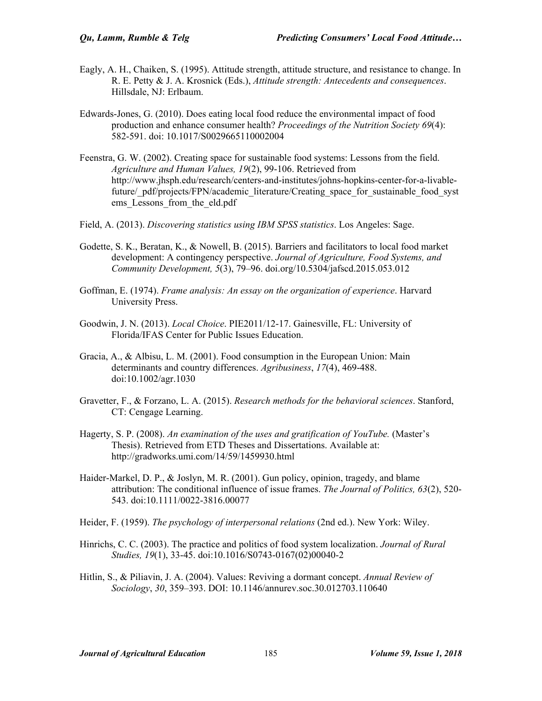- Eagly, A. H., Chaiken, S. (1995). Attitude strength, attitude structure, and resistance to change. In R. E. Petty & J. A. Krosnick (Eds.), *Attitude strength: Antecedents and consequences*. Hillsdale, NJ: Erlbaum.
- Edwards-Jones, G. (2010). Does eating local food reduce the environmental impact of food production and enhance consumer health? *Proceedings of the Nutrition Society 69*(4): 582-591. doi: 10.1017/S0029665110002004
- Feenstra, G. W. (2002). Creating space for sustainable food systems: Lessons from the field. *Agriculture and Human Values, 19*(2), 99-106. Retrieved from http://www.jhsph.edu/research/centers-and-institutes/johns-hopkins-center-for-a-livablefuture/\_pdf/projects/FPN/academic\_literature/Creating\_space\_for\_sustainable\_food\_syst ems Lessons from the eld.pdf
- Field, A. (2013). *Discovering statistics using IBM SPSS statistics*. Los Angeles: Sage.
- Godette, S. K., Beratan, K., & Nowell, B. (2015). Barriers and facilitators to local food market development: A contingency perspective. *Journal of Agriculture, Food Systems, and Community Development, 5*(3), 79–96. doi.org/10.5304/jafscd.2015.053.012
- Goffman, E. (1974). *Frame analysis: An essay on the organization of experience*. Harvard University Press.
- Goodwin, J. N. (2013). *Local Choice*. PIE2011/12-17. Gainesville, FL: University of Florida/IFAS Center for Public Issues Education.
- Gracia, A., & Albisu, L. M. (2001). Food consumption in the European Union: Main determinants and country differences. *Agribusiness*, *17*(4), 469-488. doi:10.1002/agr.1030
- Gravetter, F., & Forzano, L. A. (2015). *Research methods for the behavioral sciences*. Stanford, CT: Cengage Learning.
- Hagerty, S. P. (2008). *An examination of the uses and gratification of YouTube.* (Master's Thesis). Retrieved from ETD Theses and Dissertations. Available at: http://gradworks.umi.com/14/59/1459930.html
- Haider-Markel, D. P., & Joslyn, M. R. (2001). Gun policy, opinion, tragedy, and blame attribution: The conditional influence of issue frames. *The Journal of Politics, 63*(2), 520- 543. doi:10.1111/0022-3816.00077
- Heider, F. (1959). *The psychology of interpersonal relations* (2nd ed.). New York: Wiley.
- Hinrichs, C. C. (2003). The practice and politics of food system localization. *Journal of Rural Studies, 19*(1), 33-45. doi:10.1016/S0743-0167(02)00040-2
- Hitlin, S., & Piliavin, J. A. (2004). Values: Reviving a dormant concept. *Annual Review of Sociology*, *30*, 359–393. DOI: 10.1146/annurev.soc.30.012703.110640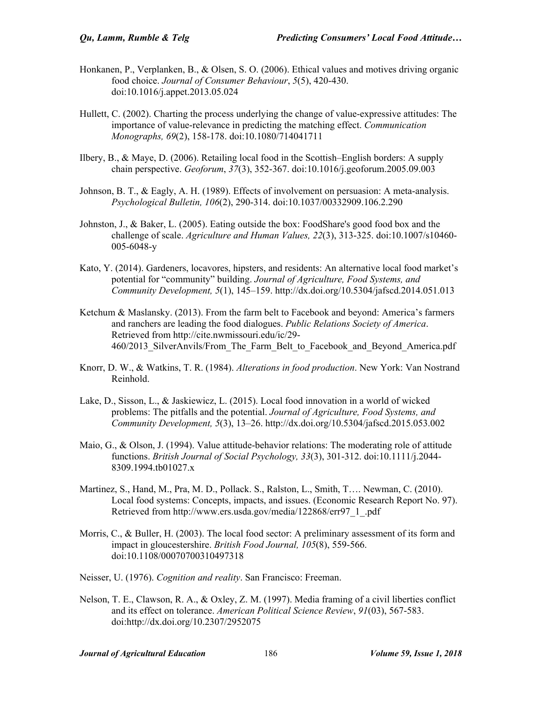- Honkanen, P., Verplanken, B., & Olsen, S. O. (2006). Ethical values and motives driving organic food choice. *Journal of Consumer Behaviour*, *5*(5), 420-430. doi:10.1016/j.appet.2013.05.024
- Hullett, C. (2002). Charting the process underlying the change of value-expressive attitudes: The importance of value-relevance in predicting the matching effect. *Communication Monographs, 69*(2), 158-178. doi:10.1080/714041711
- Ilbery, B., & Maye, D. (2006). Retailing local food in the Scottish–English borders: A supply chain perspective. *Geoforum*, *37*(3), 352-367. doi:10.1016/j.geoforum.2005.09.003
- Johnson, B. T., & Eagly, A. H. (1989). Effects of involvement on persuasion: A meta-analysis. *Psychological Bulletin, 106*(2), 290-314. doi:10.1037/00332909.106.2.290
- Johnston, J., & Baker, L. (2005). Eating outside the box: FoodShare's good food box and the challenge of scale. *Agriculture and Human Values, 22*(3), 313-325. doi:10.1007/s10460- 005-6048-y
- Kato, Y. (2014). Gardeners, locavores, hipsters, and residents: An alternative local food market's potential for "community" building. *Journal of Agriculture, Food Systems, and Community Development, 5*(1), 145–159. http://dx.doi.org/10.5304/jafscd.2014.051.013
- Ketchum & Maslansky. (2013). From the farm belt to Facebook and beyond: America's farmers and ranchers are leading the food dialogues. *Public Relations Society of America*. Retrieved from http://cite.nwmissouri.edu/ic/29- 460/2013 SilverAnvils/From The Farm Belt to Facebook and Beyond America.pdf
- Knorr, D. W., & Watkins, T. R. (1984). *Alterations in food production*. New York: Van Nostrand Reinhold.
- Lake, D., Sisson, L., & Jaskiewicz, L. (2015). Local food innovation in a world of wicked problems: The pitfalls and the potential. *Journal of Agriculture, Food Systems, and Community Development, 5*(3), 13–26. http://dx.doi.org/10.5304/jafscd.2015.053.002
- Maio, G., & Olson, J. (1994). Value attitude-behavior relations: The moderating role of attitude functions. *British Journal of Social Psychology, 33*(3), 301-312. doi:10.1111/j.2044- 8309.1994.tb01027.x
- Martinez, S., Hand, M., Pra, M. D., Pollack. S., Ralston, L., Smith, T…. Newman, C. (2010). Local food systems: Concepts, impacts, and issues. (Economic Research Report No. 97). Retrieved from http://www.ers.usda.gov/media/122868/err97\_1\_.pdf
- Morris, C., & Buller, H. (2003). The local food sector: A preliminary assessment of its form and impact in gloucestershire. *British Food Journal, 105*(8), 559-566. doi:10.1108/00070700310497318
- Neisser, U. (1976). *Cognition and reality*. San Francisco: Freeman.
- Nelson, T. E., Clawson, R. A., & Oxley, Z. M. (1997). Media framing of a civil liberties conflict and its effect on tolerance. *American Political Science Review*, *91*(03), 567-583. doi:http://dx.doi.org/10.2307/2952075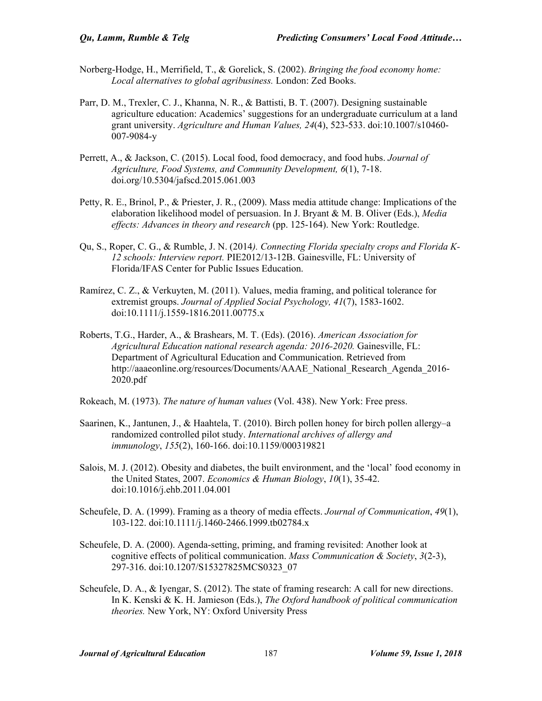- Norberg-Hodge, H., Merrifield, T., & Gorelick, S. (2002). *Bringing the food economy home: Local alternatives to global agribusiness.* London: Zed Books.
- Parr, D. M., Trexler, C. J., Khanna, N. R., & Battisti, B. T. (2007). Designing sustainable agriculture education: Academics' suggestions for an undergraduate curriculum at a land grant university. *Agriculture and Human Values, 24*(4), 523-533. doi:10.1007/s10460- 007-9084-y
- Perrett, A., & Jackson, C. (2015). Local food, food democracy, and food hubs. *Journal of Agriculture, Food Systems, and Community Development, 6*(1), 7-18. doi.org/10.5304/jafscd.2015.061.003
- Petty, R. E., Brinol, P., & Priester, J. R., (2009). Mass media attitude change: Implications of the elaboration likelihood model of persuasion. In J. Bryant & M. B. Oliver (Eds.), *Media effects: Advances in theory and research* (pp. 125-164). New York: Routledge.
- Qu, S., Roper, C. G., & Rumble, J. N. (2014*). Connecting Florida specialty crops and Florida K-12 schools: Interview report.* PIE2012/13-12B. Gainesville, FL: University of Florida/IFAS Center for Public Issues Education.
- Ramírez, C. Z., & Verkuyten, M. (2011). Values, media framing, and political tolerance for extremist groups. *Journal of Applied Social Psychology, 41*(7), 1583-1602. doi:10.1111/j.1559-1816.2011.00775.x
- Roberts, T.G., Harder, A., & Brashears, M. T. (Eds). (2016). *American Association for Agricultural Education national research agenda: 2016-2020.* Gainesville, FL: Department of Agricultural Education and Communication. Retrieved from http://aaaeonline.org/resources/Documents/AAAE\_National\_Research\_Agenda\_2016-2020.pdf
- Rokeach, M. (1973). *The nature of human values* (Vol. 438). New York: Free press.
- Saarinen, K., Jantunen, J., & Haahtela, T. (2010). Birch pollen honey for birch pollen allergy–a randomized controlled pilot study. *International archives of allergy and immunology*, *155*(2), 160-166. doi:10.1159/000319821
- Salois, M. J. (2012). Obesity and diabetes, the built environment, and the 'local' food economy in the United States, 2007. *Economics & Human Biology*, *10*(1), 35-42. doi:10.1016/j.ehb.2011.04.001
- Scheufele, D. A. (1999). Framing as a theory of media effects. *Journal of Communication*, *49*(1), 103-122. doi:10.1111/j.1460-2466.1999.tb02784.x
- Scheufele, D. A. (2000). Agenda-setting, priming, and framing revisited: Another look at cognitive effects of political communication. *Mass Communication & Society*, *3*(2-3), 297-316. doi:10.1207/S15327825MCS0323\_07
- Scheufele, D. A., & Iyengar, S. (2012). The state of framing research: A call for new directions. In K. Kenski & K. H. Jamieson (Eds.), *The Oxford handbook of political communication theories.* New York, NY: Oxford University Press